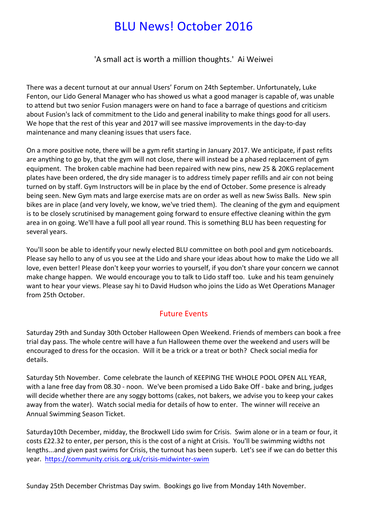# **BLU News! October 2016**

'A small act is worth a million thoughts.' Ai Weiwei

There was a decent turnout at our annual Users' Forum on 24th September. Unfortunately, Luke Fenton, our Lido General Manager who has showed us what a good manager is capable of, was unable to attend but two senior Fusion managers were on hand to face a barrage of questions and criticism about Fusion's lack of commitment to the Lido and general inability to make things good for all users. We hope that the rest of this year and 2017 will see massive improvements in the day-to-day maintenance and many cleaning issues that users face.

On a more positive note, there will be a gym refit starting in January 2017. We anticipate, if past refits are anything to go by, that the gym will not close, there will instead be a phased replacement of gym equipment. The broken cable machine had been repaired with new pins, new 25 & 20KG replacement plates have been ordered, the dry side manager is to address timely paper refills and air con not being turned on by staff. Gym Instructors will be in place by the end of October. Some presence is already being seen. New Gym mats and large exercise mats are on order as well as new Swiss Balls. New spin bikes are in place (and very lovely, we know, we've tried them). The cleaning of the gym and equipment is to be closely scrutinised by management going forward to ensure effective cleaning within the gym area in on going. We'll have a full pool all year round. This is something BLU has been requesting for several years.

You'll soon be able to identify your newly elected BLU committee on both pool and gym noticeboards. Please say hello to any of us you see at the Lido and share your ideas about how to make the Lido we all love, even better! Please don't keep your worries to yourself, if you don't share your concern we cannot make change happen. We would encourage you to talk to Lido staff too. Luke and his team genuinely want to hear your views. Please say hi to David Hudson who joins the Lido as Wet Operations Manager from 25th October

#### **Future Events**

Saturday 29th and Sunday 30th October Halloween Open Weekend. Friends of members can book a free trial day pass. The whole centre will have a fun Halloween theme over the weekend and users will be encouraged to dress for the occasion. Will it be a trick or a treat or both? Check social media for details.

Saturday 5th November. Come celebrate the launch of KEEPING THE WHOLE POOL OPEN ALL YEAR, with a lane free day from 08.30 - noon. We've been promised a Lido Bake Off - bake and bring, judges will decide whether there are any soggy bottoms (cakes, not bakers, we advise you to keep your cakes away from the water). Watch social media for details of how to enter. The winner will receive an Annual Swimming Season Ticket.

Saturday10th December, midday, the Brockwell Lido swim for Crisis. Swim alone or in a team or four, it costs £22.32 to enter, per person, this is the cost of a night at Crisis. You'll be swimming widths not lengths...and given past swims for Crisis, the turnout has been superb. Let's see if we can do better this year. https://community.crisis.org.uk/crisis-midwinter-swim

Sunday 25th December Christmas Day swim. Bookings go live from Monday 14th November.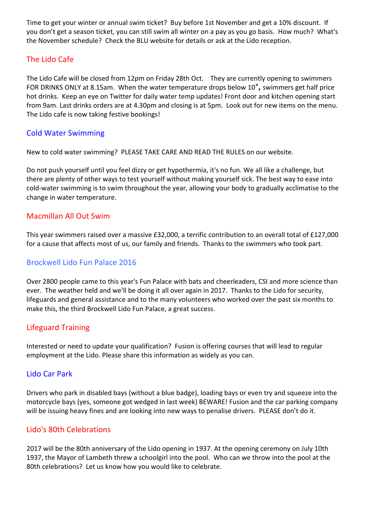Time to get your winter or annual swim ticket? Buy before 1st November and get a 10% discount. If you don't get a season ticket, you can still swim all winter on a pay as you go basis. How much? What's the November schedule? Check the BLU website for details or ask at the Lido reception.

## The Lido Cafe

The Lido Cafe will be closed from 12pm on Friday 28th Oct. They are currently opening to swimmers FOR DRINKS ONLY at 8.15am. When the water temperature drops below 10<sup>°</sup>, swimmers get half price hot drinks. Keep an eye on Twitter for daily water temp updates! Front door and kitchen opening start from 9am. Last drinks orders are at 4.30pm and closing is at 5pm. Look out for new items on the menu. The Lido cafe is now taking festive bookings!

#### Cold Water Swimming

New to cold water swimming? PLEASE TAKE CARE AND READ THE RULES on our website.

Do not push yourself until you feel dizzy or get hypothermia, it's no fun. We all like a challenge, but there are plenty of other ways to test yourself without making yourself sick. The best way to ease into cold-water swimming is to swim throughout the year, allowing your body to gradually acclimatise to the change in water temperature.

## Macmillan All Out Swim

This year swimmers raised over a massive £32,000, a terrific contribution to an overall total of £127,000 for a cause that affects most of us, our family and friends. Thanks to the swimmers who took part.

### Brockwell Lido Fun Palace 2016

Over 2800 people came to this year's Fun Palace with bats and cheerleaders, CSI and more science than ever. The weather held and we'll be doing it all over again in 2017. Thanks to the Lido for security, lifeguards and general assistance and to the many volunteers who worked over the past six months to make this, the third Brockwell Lido Fun Palace, a great success.

#### Lifeguard Training

Interested or need to update your qualification? Fusion is offering courses that will lead to regular employment at the Lido. Please share this information as widely as you can.

#### Lido Car Park

Drivers who park in disabled bays (without a blue badge), loading bays or even try and squeeze into the motorcycle bays (yes, someone got wedged in last week) BEWARE! Fusion and the car parking company will be issuing heavy fines and are looking into new ways to penalise drivers. PLEASE don't do it.

## Lido's 80th Celebrations

2017 will be the 80th anniversary of the Lido opening in 1937. At the opening ceremony on July 10th 1937, the Mayor of Lambeth threw a schoolgirl into the pool. Who can we throw into the pool at the 80th celebrations? Let us know how you would like to celebrate.